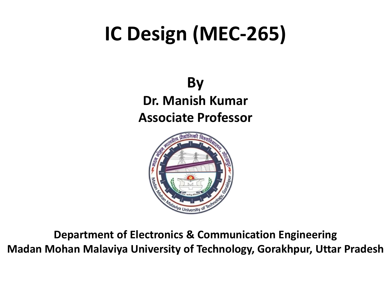# **IC Design (MEC-265)**

**By Dr. Manish Kumar Associate Professor**



**Department of Electronics & Communication Engineering Madan Mohan Malaviya University of Technology, Gorakhpur, Uttar Pradesh**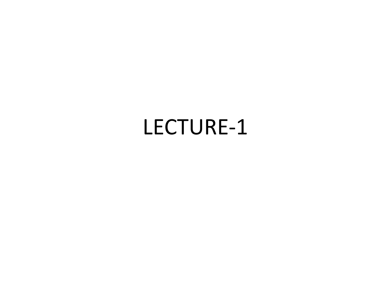## LECTURE-1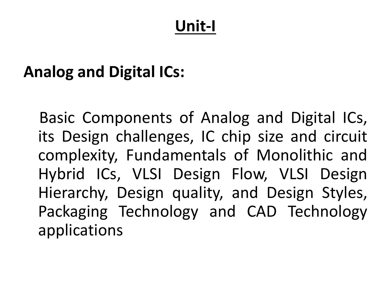### **Unit-I**

#### **Analog and Digital ICs:**

Basic Components of Analog and Digital ICs, its Design challenges, IC chip size and circuit complexity, Fundamentals of Monolithic and Hybrid ICs, VLSI Design Flow, VLSI Design Hierarchy, Design quality, and Design Styles, Packaging Technology and CAD Technology applications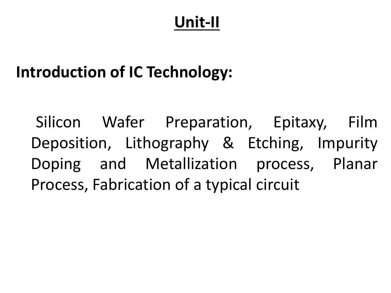## **Unit-II**

## **Introduction of IC Technology:**

Silicon Wafer Preparation, Epitaxy, Film Deposition, Lithography & Etching, Impurity Doping and Metallization process, Planar Process, Fabrication of a typical circuit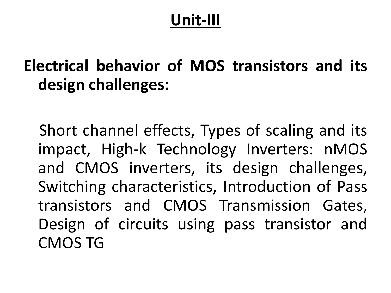#### **Unit-III**

#### **Electrical behavior of MOS transistors and its design challenges:**

Short channel effects, Types of scaling and its impact, High-k Technology Inverters: nMOS and CMOS inverters, its design challenges, Switching characteristics, Introduction of Pass transistors and CMOS Transmission Gates, Design of circuits using pass transistor and CMOS TG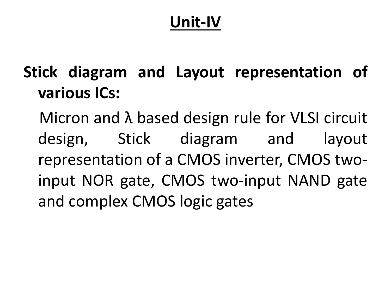## **Unit-IV**

**Stick diagram and Layout representation of various ICs:**

Micron and λ based design rule for VLSI circuit design, Stick diagram and layout representation of a CMOS inverter, CMOS twoinput NOR gate, CMOS two-input NAND gate and complex CMOS logic gates